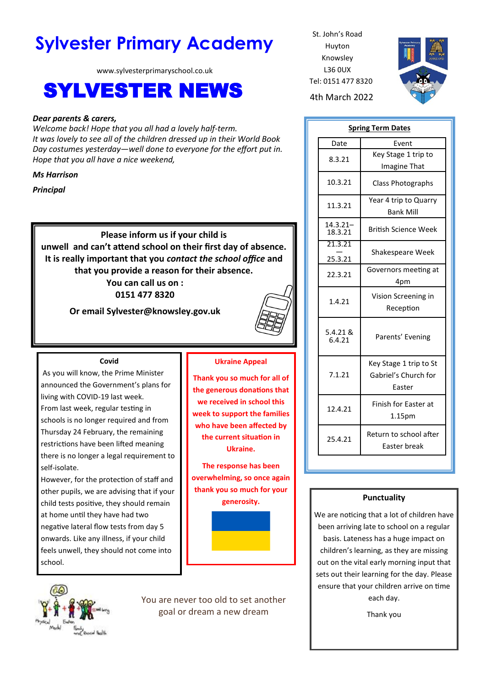# **Sylvester Primary Academy** St. John's Road

www.sylvesterprimaryschool.co.uk

# SYLVESTER NEWS 4th March 2022

# *Dear parents & carers,*

*Welcome back! Hope that you all had a lovely half-term. It was lovely to see all of the children dressed up in their World Book Day costumes yesterday—well done to everyone for the effort put in. Hope that you all have a nice weekend,*

### *Ms Harrison*

*Principal*

**Please inform us if your child is unwell and can't attend school on their first day of absence. It is really important that you** *contact the school office* **and that you provide a reason for their absence. You can call us on :** 

**0151 477 8320**

**Or email Sylvester@knowsley.gov.uk**



#### **Covid**

As you will know, the Prime Minister announced the Government's plans for living with COVID-19 last week. From last week, regular testing in schools is no longer required and from Thursday 24 February, the remaining restrictions have been lifted meaning there is no longer a legal requirement to self-isolate.

However, for the protection of staff and other pupils, we are advising that if your child tests positive, they should remain at home until they have had two negative lateral flow tests from day 5 onwards. Like any illness, if your child feels unwell, they should not come into school.

# **Ukraine Appeal**

**Thank you so much for all of the generous donations that we received in school this week to support the families who have been affected by the current situation in Ukraine.**

**The response has been overwhelming, so once again thank you so much for your** 



You are never too old to set another goal or dream a new dream

Huyton Knowsley L36 0UX Tel: 0151 477 8320



| <b>Spring Term Dates</b> |                                                          |
|--------------------------|----------------------------------------------------------|
| Date                     | Event                                                    |
| 8.3.21                   | Key Stage 1 trip to<br>Imagine That                      |
| 10.3.21                  | <b>Class Photographs</b>                                 |
| 11.3.21                  | Year 4 trip to Quarry<br><b>Bank Mill</b>                |
| $14.3.21 -$<br>18.3.21   | <b>British Science Week</b>                              |
| 21.3.21<br>25.3.21       | Shakespeare Week                                         |
| 22.3.21                  | Governors meeting at<br>4pm                              |
| 1.4.21                   | Vision Screening in<br>Reception                         |
| 5.4.21 &<br>6.4.21       | Parents' Evening                                         |
| 7.1.21                   | Key Stage 1 trip to St<br>Gabriel's Church for<br>Easter |
| 12.4.21                  | Finish for Easter at<br>1.15pm                           |
| 25.4.21                  | Return to school after<br>Easter break                   |

# **Punctuality**

We are noticing that a lot of children have been arriving late to school on a regular basis. Lateness has a huge impact on children's learning, as they are missing out on the vital early morning input that sets out their learning for the day. Please ensure that your children arrive on time each day.

Thank you